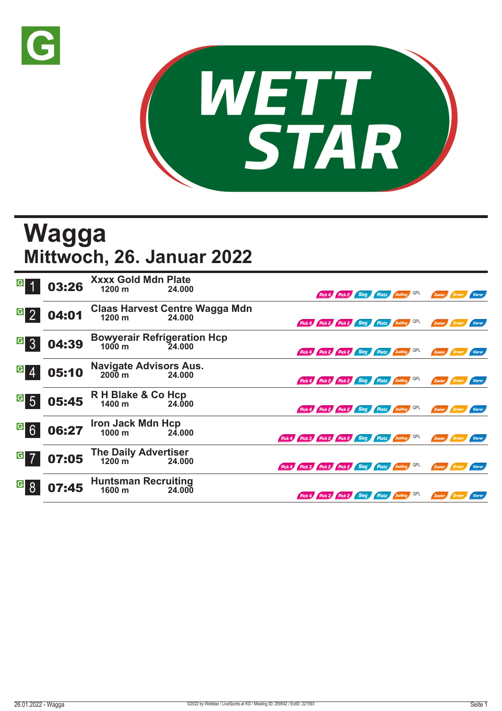



## **Wagga Mittwoch, 26. Januar 2022**

|                                  | 03:26 | <b>Xxxx Gold Mdn Plate</b><br>1200 m                   | 24.000                                             |                                                     | Pick 4 Pick 2                                | Sieg | Platz Zwilling QPL |     | Zweier        | / Dreier      | <i>Vierer</i> |
|----------------------------------|-------|--------------------------------------------------------|----------------------------------------------------|-----------------------------------------------------|----------------------------------------------|------|--------------------|-----|---------------|---------------|---------------|
| $\vert G \vert$                  | 04:01 |                                                        | Claas Harvest Centre Wagga Mdn<br>1200 m<br>24.000 |                                                     | Pick 4 Pick 2 Pick 2 Sieg Platz Zwilling QPL |      |                    |     | Zweier        | <b>Dreier</b> | Vierer        |
| $\overline{G}$<br>$\overline{3}$ | 04:39 | <b>Bowyerair Refrigeration Hcp</b><br>$1000 \text{ m}$ | 24,000                                             |                                                     | Pick 4 Pick 2 Pick 2 Sieg Platz Zwilling QPL |      |                    |     | Zweier        | Dreier        | Vierer        |
| G <sub>4</sub>                   | 05:10 | <b>Navigate Advisors Aus.</b><br>$2000 \text{ m}$      | 24.000                                             |                                                     | Pick 4 Pick 2 Pick 2 Sieg Platz Zwilling     |      |                    | QPL | Zweier        | Dreier        | <b>Vierer</b> |
| $\mathbf{G}$<br>$5\overline{)}$  | 05:45 | R H Blake & Co Hcp<br>1400 m                           | 24.000                                             |                                                     | Pick 4 Pick 2 Pick 2 Sieg Platz Zwilling QPL |      |                    |     | Zweier        |               | Vierer        |
| $\overline{G}$ 6                 | 06:27 | Iron Jack Mdn Hcp<br>1000 m 24.0                       | 24.000                                             | Pick 4 Pick 3 Pick 2 Pick 2 Sieg Platz Zwilling QPL |                                              |      |                    |     | Zweier Dreier |               | Vierer        |
| $G$ 7                            | 07:05 | The Daily Advertiser<br>1200 m 24.00                   | 24.000                                             | Pick 4 Pick 3 Pick 2 Pick 2 Sieg Platz Zwilling QPL |                                              |      |                    |     | Zweier Dreier |               | Vierer        |
| G                                | 07:45 | <b>Huntsman Recruiting</b><br>1600 m                   | 24.000                                             |                                                     | Pick 4 Pick 3 Pick 2 Sieg Platz Zwilling     |      |                    | QPL | Zweier        | / Dreier      | Vierer        |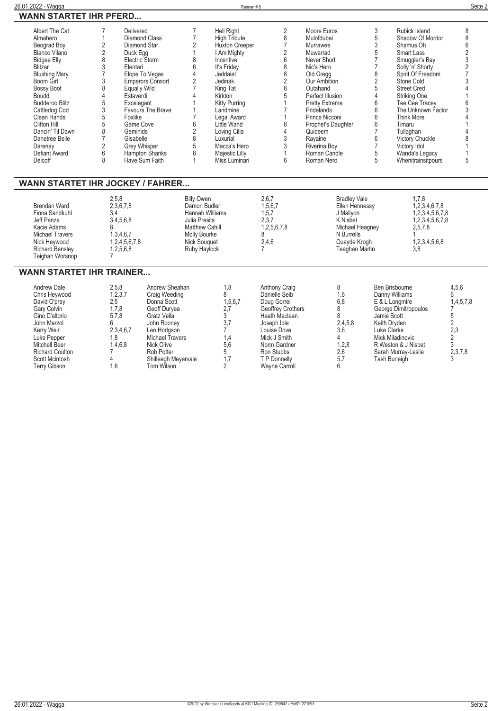| Albert The Cat<br>Almahero<br>Beograd Boy<br>Bianco Vilano<br><b>Bidgee Elly</b><br><b>Blitzar</b><br><b>Blushing Mary</b><br>Boom Girl<br><b>Bossy Boot</b><br>Bouddi<br><b>Budderoo Blitz</b><br>Cattledog Cod<br>Clean Hands<br>Clifton Hill<br>Dancin' Til Dawn<br>Danetree Belle<br>Darenay<br>Defiant Award<br>Delcoff | 7<br>Delivered<br><b>Diamond Class</b><br>1<br>2<br>Diamond Star<br>$\overline{2}$<br>Duck Egg<br>8<br>Electric Storm<br>3<br>Elentari<br>7<br>3<br>8<br>Equally Wild<br>4<br>Estaverdi<br>5<br>Excelegant<br>3<br>5<br>Foxlike<br>5<br>Game Cove<br>8<br>Geminids<br>$\overline{7}$<br>Gisabelle<br>2<br>Grey Whisper<br>6<br>8 | $\overline{7}$<br>$\overline{7}$<br>$\overline{2}$<br>$\mathbf{1}$<br>8<br>6<br>4<br>Elope To Vegas<br>$\overline{2}$<br>Emperors Consort<br>$\overline{7}$<br>4<br>Favours The Brave<br>1<br>$\overline{7}$<br>6<br>$\overline{2}$<br>8<br>5<br>8<br>Hampton Shanks<br>Have Sum Faith<br>1 | <b>Hell Right</b><br><b>High Tribute</b><br>Huxton Creeper<br>I Am Mighty<br>Incentive<br>It's Friday<br>Jeddalet<br>Jedinak<br>King Tat<br>Kirkton<br><b>Kitty Purring</b><br>Landmine<br>Legal Award<br>Little Wand<br>Loving Cilla<br>Luxurial<br>Macca's Hero<br>Majestic Lilly<br>Miss Luminari | 2<br>8<br>$\overline{7}$<br>$\overline{2}$<br>6<br>8<br>8<br>$\overline{2}$<br>8<br>5<br>$\overline{1}$<br>7<br>1<br>8<br>4<br>3<br>3<br>$\mathbf{1}$<br>6                                    | Moore Euros<br>Mulofdubai<br>Murrawee<br>Muwarrad<br>Never Short<br>Nic's Hero<br>Old Gregg<br>Our Ambition<br>Outahand<br>Perfect Illusion<br><b>Pretty Extreme</b><br>Pridelands<br>Prince Nicconi<br>Prophet's Daughter<br>Quideem<br>Rayaine<br>Riverina Bov<br>Roman Candle<br>Roman Nero | 3<br>5<br>3<br>5<br>$\overline{7}$<br>$\overline{7}$<br>8<br>$\sqrt{2}$<br>5<br>4<br>6<br>6<br>6<br>6<br>$\overline{7}$<br>6<br>$\overline{7}$<br>5<br>5 | Rubick Island<br>Shadow Of Mordor<br>Shamus Oh<br><b>Smart Lass</b><br>Smuggler's Bay<br>Solly 'n' Shorty<br>Spirit Of Freedom<br>Stone Cold<br><b>Street Cred</b><br>Striking One<br>Tee Cee Tracev<br>The Unknown Factor<br><b>Think More</b><br>Timaru<br>Tullaghan<br>Victory Chuckle<br>Victory Idol<br>Wanda's Legacy<br>Whenitrainsitpours | 8<br>8<br>$6\phantom{1}$<br>$\overline{2}$<br>3<br>$\overline{c}$<br>$\overline{7}$<br>3<br>5 |
|------------------------------------------------------------------------------------------------------------------------------------------------------------------------------------------------------------------------------------------------------------------------------------------------------------------------------|----------------------------------------------------------------------------------------------------------------------------------------------------------------------------------------------------------------------------------------------------------------------------------------------------------------------------------|---------------------------------------------------------------------------------------------------------------------------------------------------------------------------------------------------------------------------------------------------------------------------------------------|------------------------------------------------------------------------------------------------------------------------------------------------------------------------------------------------------------------------------------------------------------------------------------------------------|-----------------------------------------------------------------------------------------------------------------------------------------------------------------------------------------------|------------------------------------------------------------------------------------------------------------------------------------------------------------------------------------------------------------------------------------------------------------------------------------------------|----------------------------------------------------------------------------------------------------------------------------------------------------------|---------------------------------------------------------------------------------------------------------------------------------------------------------------------------------------------------------------------------------------------------------------------------------------------------------------------------------------------------|-----------------------------------------------------------------------------------------------|
| WANN STARTET IHR JOCKEY / FAHRER<br><b>Brendan Ward</b><br>Fiona Sandkuhl<br>Jeff Penza<br>Kacie Adams<br><b>Michael Travers</b><br>Nick Heywood<br><b>Richard Bensley</b><br>Teighan Worsnop                                                                                                                                | 2,5,8<br>2,3,6,7,8<br>3.4<br>3,4,5,6,8<br>8<br>1,3,4,6,7<br>1,2,4,5,6,7,8<br>1,2,5,6,8<br>$\overline{7}$                                                                                                                                                                                                                         | <b>Billy Owen</b><br>Damon Budler<br><b>Hannah Williams</b><br>Julia Presits<br><b>Matthew Cahill</b><br>Molly Bourke<br><b>Nick Souguet</b><br>Ruby Haylock                                                                                                                                |                                                                                                                                                                                                                                                                                                      | 2,6,7<br>1,5,6,7<br>1.5.7<br>2.3.7<br>1,2,5,6,7,8<br>8<br>2,4,6<br>7                                                                                                                          | <b>Bradley Vale</b><br>Ellen Hennessy<br>J Mallvon<br>K Nisbet<br>Michael Heagney<br>N Burrells<br>Quayde Krogh<br><b>Teaghan Martin</b>                                                                                                                                                       |                                                                                                                                                          | 1.7.8<br>1,2,3,4,6,7,8<br>1,2,3,4,5,6,7,8<br>1,2,3,4,5,6,7,8<br>2,5,7,8<br>1,2,3,4,5,6,8<br>3,8                                                                                                                                                                                                                                                   |                                                                                               |
| <b>WANN STARTET IHR TRAINER</b><br><b>Andrew Dale</b><br>Chris Heywood<br>David O'prey<br>Gary Colvin<br>Gino D'altorio<br>John Marzol<br>Kerry Weir<br>Luke Pepper<br>Mitchell Beer<br><b>Richard Coulton</b><br>Scott Mcintosh                                                                                             | 2,5,8<br>1, 2, 3, 7<br>2,5<br>1,7,8<br>5.7.8<br>6<br>2,3,4,6,7<br>1,8<br>1,4,6,8<br>$\overline{7}$<br>4                                                                                                                                                                                                                          | Andrew Sheahan<br>Craig Weeding<br>Donna Scott<br>Geoff Duryea<br>Gratz Vella<br>John Rooney<br>Len Hodgson<br>Michael Travers<br><b>Nick Olive</b><br><b>Rob Potter</b><br>Shilleagh Mevervale                                                                                             | 1,8<br>8<br>1,5,6,7<br>2,7<br>3<br>3,7<br>$\overline{7}$<br>1.4<br>5.6<br>5<br>1.7                                                                                                                                                                                                                   | <b>Anthony Craig</b><br>Danielle Seib<br>Doug Gorrel<br>Geoffrey Crothers<br><b>Heath Maclean</b><br>Joseph Ible<br>Louisa Dove<br>Mick J Smith<br>Norm Gardner<br>Ron Stubbs<br>T P Donnelly | 8<br>1,6<br>6.8<br>8<br>8<br>2,4,5,8<br>3.6<br>4<br>1,2,8<br>2.6<br>5.7                                                                                                                                                                                                                        | Jamie Scott<br>Keith Dryden<br>Luke Clarke<br><b>Tash Burleigh</b>                                                                                       | Ben Brisbourne<br>Danny Williams<br>E & L Longmire<br>George Dimitropoulos<br><b>Mick Miladinovic</b><br>R Weston & J Nisbet<br>Sarah Murray-Leslie                                                                                                                                                                                               | 4,5,6<br>6<br>1,4,5,7,8<br>5<br>$\overline{2}$<br>2.3<br>$\overline{2}$<br>3<br>2.3.7.8<br>3  |

**Terry Gibson 1,6 Tom Wilson 2 Wayne Carroll 6**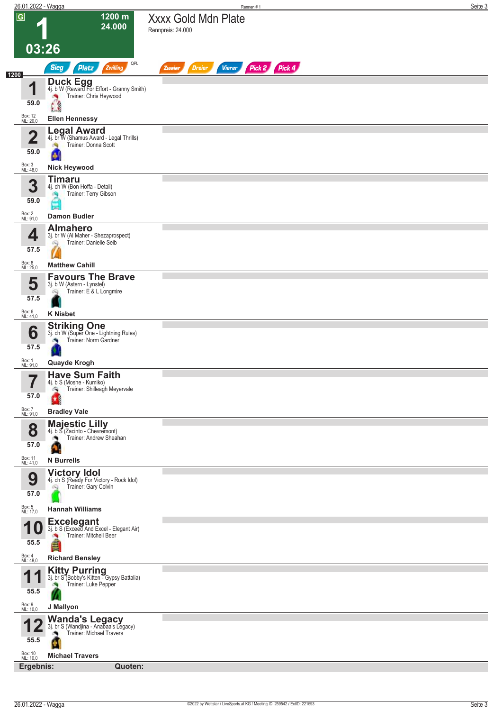| $\overline{G}$          | 1200 m                                                                           | <b>Xxxx Gold Mdn Plate</b>                                       |  |
|-------------------------|----------------------------------------------------------------------------------|------------------------------------------------------------------|--|
|                         | 24.000                                                                           | Rennpreis: 24.000                                                |  |
|                         |                                                                                  |                                                                  |  |
| 03:26                   |                                                                                  |                                                                  |  |
|                         | QPL<br><b>Sieg</b><br><b>Platz</b><br>Zwilling                                   | Pick 2 Pick 4<br><b>Vierer</b><br><b>Dreier</b><br><b>Zweier</b> |  |
| 1200<br>1               | <b>Duck Egg</b><br>4j. b W (Reward For Effort - Granny Smith)                    |                                                                  |  |
| 59.0                    | Trainer: Chris Heywood                                                           |                                                                  |  |
|                         | $\mathcal{C}$                                                                    |                                                                  |  |
| Box: 12<br>ML: 20,0     | <b>Ellen Hennessy</b><br><b>Legal Award</b>                                      |                                                                  |  |
| $\overline{\mathbf{2}}$ | 4j. br W (Shamus Award - Legal Thrills)<br>Trainer: Donna Scott<br>肉             |                                                                  |  |
| 59.0                    | ۵                                                                                |                                                                  |  |
| Box: 3<br>ML: 48,0      | <b>Nick Heywood</b>                                                              |                                                                  |  |
| 3                       | <b>Timaru</b><br>4j. ch W (Bon Hoffa - Detail)                                   |                                                                  |  |
| 59.0                    | Trainer: Terry Gibson                                                            |                                                                  |  |
| Box: 2<br>ML: 91,0      | <b>Damon Budler</b>                                                              |                                                                  |  |
|                         | <b>Almahero</b>                                                                  |                                                                  |  |
| 4                       | 3j. br W (Al Maher - Shezaprospect)<br>Trainer: Danielle Seib<br>6Q              |                                                                  |  |
| 57.5                    |                                                                                  |                                                                  |  |
| Box: 8<br>ML: 25,0      | <b>Matthew Cahill</b>                                                            |                                                                  |  |
| 5                       | <b>Favours The Brave</b><br>3j. b W (Astern - Lynstel)                           |                                                                  |  |
| 57.5                    | Trainer: E & L Longmire<br>Q                                                     |                                                                  |  |
| Box: 6<br>ML: 41,0      | <b>K</b> Nisbet                                                                  |                                                                  |  |
|                         | <b>Striking One</b><br>3j. ch W (Super One - Lightning Rules)                    |                                                                  |  |
| 6                       | Trainer: Norm Gardner                                                            |                                                                  |  |
| 57.5                    |                                                                                  |                                                                  |  |
| Box: 1<br>ML: 91,0      | Quayde Krogh                                                                     |                                                                  |  |
| 7<br>ı                  | <b>Have Sum Faith</b><br>4j. b S (Moshe - Kumiko)                                |                                                                  |  |
| 57.0                    | Trainer: Shilleagh Meyervale<br>- 1                                              |                                                                  |  |
| Box: 7<br>ML: 91,0      | <b>Bradley Vale</b>                                                              |                                                                  |  |
| 8                       | <b>Majestic Lilly</b><br>4j. b S (Zacinto - Chevremont)                          |                                                                  |  |
| 57.0                    | Trainer: Andrew Sheahan<br>ு                                                     |                                                                  |  |
| Box: 11                 | a                                                                                |                                                                  |  |
| ML: 41,0                | <b>N</b> Burrells                                                                |                                                                  |  |
| 9                       | Victory Idol<br>4j. ch S (Ready For Victory - Rock Idol)<br>Trainer: Gary Colvin |                                                                  |  |
| 57.0                    |                                                                                  |                                                                  |  |
| Box: 5<br>ML: 17,0      | <b>Hannah Williams</b>                                                           |                                                                  |  |
| 10                      | Excelegant<br>3j. b S (Exceed And Excel - Elegant Air)                           |                                                                  |  |
| 55.5                    | Trainer: Mitchell Beer                                                           |                                                                  |  |
| Box: 4<br>ML: 48,0      | <b>Richard Bensley</b>                                                           |                                                                  |  |
|                         | <b>Kitty Purring</b><br>3j. br S (Bobby's Kitten - Gypsy Battalia)               |                                                                  |  |
|                         | Trainer: Luke Pepper                                                             |                                                                  |  |
| 55.5                    |                                                                                  |                                                                  |  |
| Box: 9<br>ML: 10,0      | J Mallyon                                                                        |                                                                  |  |
|                         | Wanda's Legacy<br>3j. br S (Wandjina - Anabaa's Legacy)                          |                                                                  |  |
| 55.5                    | Trainer: Michael Travers                                                         |                                                                  |  |
| Box: 10<br>ML: 10,0     | <b>Michael Travers</b>                                                           |                                                                  |  |
|                         | Ergebnis:<br>Quoten:                                                             |                                                                  |  |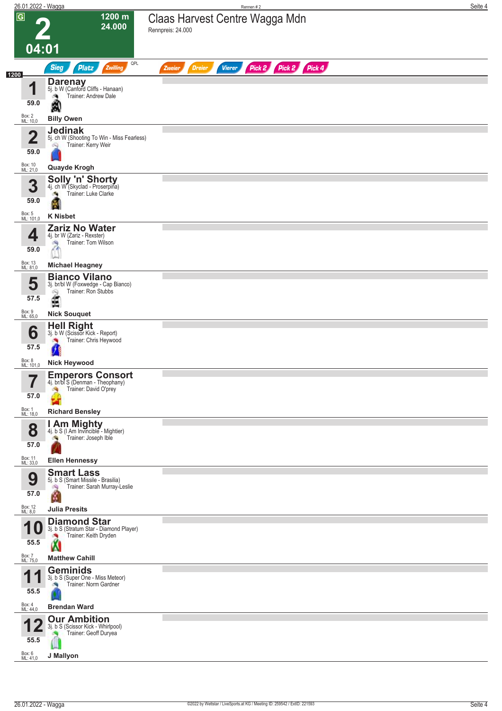| 26.01.2022 - Wagga              |                                                                                                   | Rennen#2                                                         | Seite 4 |
|---------------------------------|---------------------------------------------------------------------------------------------------|------------------------------------------------------------------|---------|
| $\overline{G}$                  | 1200 m<br>24.000                                                                                  | Claas Harvest Centre Wagga Mdn<br>Rennpreis: 24.000              |         |
| 04:01                           |                                                                                                   |                                                                  |         |
| 1200                            | QPL<br><b>Sieg</b><br>Zwilling<br><b>Platz</b>                                                    | Pick 2 Pick 2 Pick 4<br><b>Vierer</b><br><b>Dreier</b><br>Zweier |         |
| и<br>59.0                       | <b>Darenay</b><br>5j. b W (Canford Cliffs - Hanaan)<br>Trainer: Andrew Dale<br>đ.<br>я            |                                                                  |         |
| Box: 2<br>ML: 10,0              | <b>Billy Owen</b>                                                                                 |                                                                  |         |
| $\overline{\mathbf{2}}$<br>59.0 | <b>Jedinak</b><br>5j. ch W (Shooting To Win - Miss Fearless)<br>Trainer: Kerry Weir<br>Q          |                                                                  |         |
| Box: 10<br>ML: 21,0             | Quayde Krogh                                                                                      |                                                                  |         |
| 3<br>59.0                       | <b>Solly 'n' Shorty</b><br>4j. ch W (Skyclad - Proserpina)<br>Trainer: Luke Clarke                |                                                                  |         |
| Box: 5<br>ML: 101,0             | <b>K Nisbet</b>                                                                                   |                                                                  |         |
| 4<br>59.0                       | <b>Zariz No Water</b><br>4j. br W (Zariz - Rexster)<br>Trainer: Tom Wilson<br>$\sim$<br>i.l       |                                                                  |         |
| Box: 13<br>ML: 81,0             | <b>Michael Heagney</b>                                                                            |                                                                  |         |
| 5<br>57.5                       | <b>Bianco Vilano</b><br>3j. br/bl W (Foxwedge - Cap Bianco)<br>Trainer: Ron Stubbs<br>6Q<br>É     |                                                                  |         |
| Box: 9<br>ML: 65,0              | <b>Nick Souquet</b>                                                                               |                                                                  |         |
| 6<br>57.5                       | <b>Hell Right</b><br>3j. b W (Scissor Kick - Report)<br>Trainer: Chris Heywood                    |                                                                  |         |
|                                 |                                                                                                   |                                                                  |         |
| Box: 8<br>ML: 101,0             | <b>Nick Heywood</b>                                                                               |                                                                  |         |
| 57.0                            | <b>Emperors Consort</b><br>4j. br/bl S (Denman - Theophany)<br>Trainer: David O'prey<br>哅         |                                                                  |         |
| Box: 1<br>ML: 18,0              | <b>Richard Bensley</b>                                                                            |                                                                  |         |
| 8<br>57.0                       | I Am Mighty<br>4j. b S (I Am Invincible - Mightier)<br>Trainer: Joseph Ible                       |                                                                  |         |
| Box: 11<br>ML: 33,0             | <b>Ellen Hennessy</b>                                                                             |                                                                  |         |
| 9<br>57.0                       | <b>Smart Lass</b><br>5j. b S (Smart Missile - Brasilia)<br>Trainer: Sarah Murray-Leslie<br>鸿<br>ß |                                                                  |         |
| Box: 12<br>ML: 8,0              | <b>Julia Presits</b>                                                                              |                                                                  |         |
| и<br>U<br>55.5                  | <b>Diamond Star</b><br>3j. b S (Stratum Star - Diamond Player)<br>Trainer: Keith Dryden           |                                                                  |         |
| Box: 7<br>ML: 75,0              | <b>Matthew Cahill</b>                                                                             |                                                                  |         |
| 55.5                            | <b>Geminids</b><br>3j. b S (Super One - Miss Meteor)<br>Trainer: Norm Gardner                     |                                                                  |         |
| Box: 4<br>ML: 44,0              | <b>Brendan Ward</b>                                                                               |                                                                  |         |
| 55.5                            | <b>Our Ambition</b><br>3j. b S (Scissor Kick - Whirlpool)<br>Trainer: Geoff Duryea                |                                                                  |         |
| Box: 6<br>ML: 41,0              | J Mallyon                                                                                         |                                                                  |         |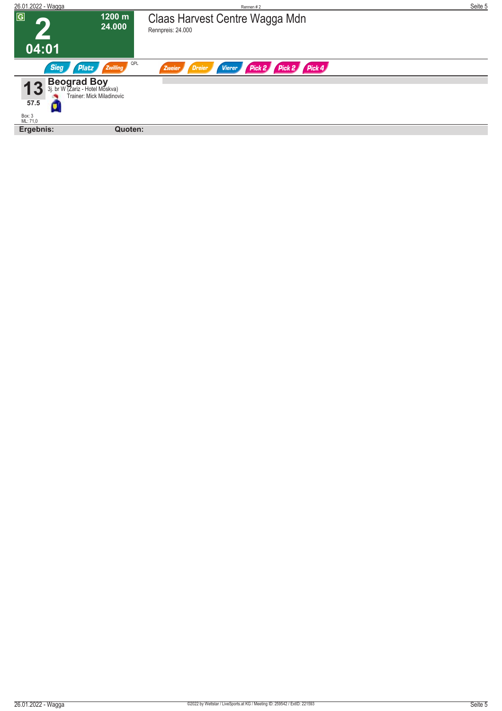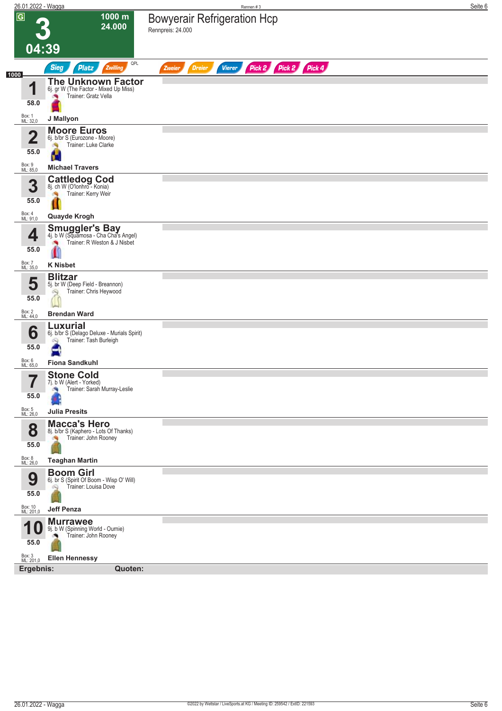|                | 26.01.2022 - Wagga                                                                                                   | Rennen #3                                                        | Seite 6 |
|----------------|----------------------------------------------------------------------------------------------------------------------|------------------------------------------------------------------|---------|
| $\overline{G}$ | 1000 m<br>24.000                                                                                                     | <b>Bowyerair Refrigeration Hcp</b><br>Rennpreis: 24.000          |         |
|                | 04:39                                                                                                                |                                                                  |         |
| 1000           | QPL<br><b>Sieg</b><br><b>Platz</b><br>Zwilling                                                                       | Pick 2 Pick 2 Pick 4<br><b>Dreier</b><br><b>Vierer</b><br>Zweier |         |
|                | <b>The Unknown Factor</b><br>4<br>6j. gr W (The Factor - Mixed Up Miss)<br>Trainer: Gratz Vella<br>×<br>58.0         |                                                                  |         |
|                | Box: 1<br>ML: 32,0<br>J Mallyon                                                                                      |                                                                  |         |
|                | <b>Moore Euros</b><br>$\overline{\mathbf{2}}$<br>6j. b/br S (Eurozone - Moore)<br>Trainer: Luke Clarke<br>55.0<br>и. |                                                                  |         |
|                | Box: 9<br>ML: 85,0<br><b>Michael Travers</b>                                                                         |                                                                  |         |
|                | <b>Cattledog Cod</b><br>8j. ch W (O'lonhro - Konia)<br>3<br>Trainer: Kerry Weir<br>55.0                              |                                                                  |         |
|                | Box: 4<br>ML: 91,0<br>Quayde Krogh                                                                                   |                                                                  |         |
|                | <b>Smuggler's Bay</b><br>4<br>4j. b W (Squamosa - Cha Cha's Angel)<br>Trainer: R Weston & J Nisbet<br>55.0           |                                                                  |         |
|                | Box: 7<br>ML: 35,0<br><b>K</b> Nisbet                                                                                |                                                                  |         |
|                | <b>Blitzar</b><br>5<br>5j. br W (Deep Field - Breannon)<br>Trainer: Chris Heywood<br>ÓW,<br>55.0                     |                                                                  |         |
| Box: 2         | <b>Brendan Ward</b><br>ML: 44,0                                                                                      |                                                                  |         |
|                | Luxurial<br>6<br>6j. b/br S (Delago Deluxe - Murials Spirit)<br>Trainer: Tash Burleigh<br>Q<br>55.0<br>-t            |                                                                  |         |
| Box: 6         | <b>Fiona Sandkuhl</b><br>ML: 65,0                                                                                    |                                                                  |         |
|                | <b>Stone Cold</b><br>57<br>7j. b W (Alert - Yorked)<br>$\blacksquare$<br>Trainer: Sarah Murray-Leslie<br>55.0        |                                                                  |         |
|                | Box: 5<br>ML: 26,0<br><b>Julia Presits</b><br><b>Macca's Hero</b>                                                    |                                                                  |         |
|                | 8<br>8j. b/br S (Kaphero - Lots Of Thanks)<br>Trainer: John Rooney<br>55.0                                           |                                                                  |         |
|                | Box: 8<br>ML: 26,0<br><b>Teaghan Martin</b>                                                                          |                                                                  |         |
|                | <b>Boom Girl</b><br>9<br>6j. br S (Spirit Of Boom - Wisp O' Will)<br>Trainer: Louisa Dove<br>Ŵ<br>55.0               |                                                                  |         |
|                | Box: 10<br>ML: 201,0<br><b>Jeff Penza</b>                                                                            |                                                                  |         |
| и              | <b>Murrawee</b><br>9j. b W (Spinning World - Ournie)<br>Trainer: John Rooney<br>55.0                                 |                                                                  |         |
|                | Box: 3<br>ML: 201,0<br><b>Ellen Hennessy</b><br>Ergebnis:<br>Quoten:                                                 |                                                                  |         |
|                |                                                                                                                      |                                                                  |         |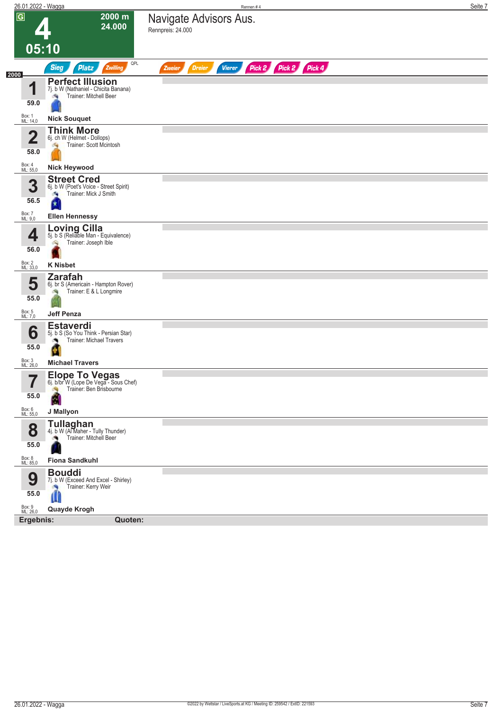| 26.01.2022 - Wagga              |                                                                                                        | Rennen #4                                                        | Seite 7 |
|---------------------------------|--------------------------------------------------------------------------------------------------------|------------------------------------------------------------------|---------|
| $\overline{\mathbf{G}}$         | 2000 m<br>24.000                                                                                       | Navigate Advisors Aus.<br>Rennpreis: 24.000                      |         |
| 05:10                           |                                                                                                        |                                                                  |         |
|                                 | QPL<br><b>Sieg</b><br><b>Platz</b><br>Zwilling                                                         | Pick 2 Pick 2 Pick 4<br><b>Vierer</b><br><b>Dreier</b><br>Zweier |         |
| 2000<br>1                       | <b>Perfect Illusion</b>                                                                                |                                                                  |         |
| 59.0                            | 7j. b W (Nathaniel - Chicita Banana)<br>Trainer: Mitchell Beer<br>瀬                                    |                                                                  |         |
| Box: 1<br>ML: 14,0              | <b>Nick Souquet</b>                                                                                    |                                                                  |         |
|                                 | <b>Think More</b>                                                                                      |                                                                  |         |
| $\overline{\mathbf{2}}$<br>58.0 | 6j. ch W (Helmet - Dollops)<br>Trainer: Scott Mcintosh<br>淘                                            |                                                                  |         |
| Box: 4<br>ML: 55,0              | <b>Nick Heywood</b>                                                                                    |                                                                  |         |
| 3<br>56.5                       | <b>Street Cred</b><br>6j. b W (Poet's Voice - Street Spirit)<br>Trainer: Mick J Smith<br>a,<br>¥       |                                                                  |         |
| Box: 7<br>ML: 9,0               | <b>Ellen Hennessy</b>                                                                                  |                                                                  |         |
| 4<br>56.0                       | <b>Loving Cilla</b><br>5j. b S (Reliable Man - Equivalence)<br>Trainer: Joseph Ible<br>ó.              |                                                                  |         |
| Box: 2<br>ML: 33,0              | <b>K Nisbet</b>                                                                                        |                                                                  |         |
| 5<br>55.0<br>Box: 5<br>ML: 7,0  | <b>Zarafah</b><br>6j. br S (Americain - Hampton Rover)<br>Trainer: E & L Longmire<br><b>Jeff Penza</b> |                                                                  |         |
|                                 |                                                                                                        |                                                                  |         |
| 6<br>55.0                       | <b>Estaverdi</b><br>5j. b S (So You Think - Persian Star)<br>Trainer: Michael Travers<br>۸<br>ø        |                                                                  |         |
| Box: 3<br>ML: 26,0              | <b>Michael Travers</b>                                                                                 |                                                                  |         |
| 7<br>I<br>55.0                  | <b>Elope To Vegas</b><br>6j. b/br W (Lope De Vega - Sous Chef)<br>Trainer: Ben Brisbourne              |                                                                  |         |
| Box: 6<br>ML: 55,0              | J Mallyon                                                                                              |                                                                  |         |
| 8<br>55.0                       | <b>Tullaghan</b><br>4j. b W (Al Maher - Tully Thunder)<br>Trainer: Mitchell Beer<br>۸                  |                                                                  |         |
| Box: 8<br>ML: 85,0              | <b>Fiona Sandkuhl</b>                                                                                  |                                                                  |         |
| 9<br>55.0                       | <b>Bouddi</b><br>7j. b W (Exceed And Excel - Shirley)<br>Trainer: Kerry Weir<br>肉<br>W                 |                                                                  |         |
| Box: 9<br>ML: 26,0              | Quayde Krogh                                                                                           |                                                                  |         |
| Ergebnis:                       | Quoten:                                                                                                |                                                                  |         |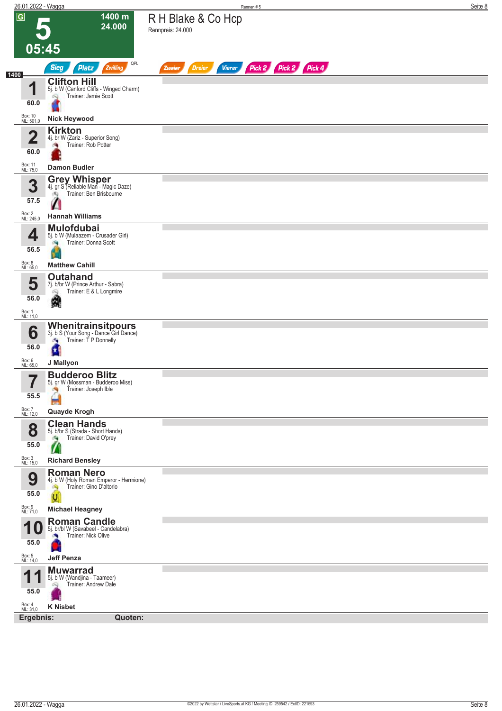| 26.01.2022 - Wagga   |                                                                                                  | Rennen #5                                                        | Seite 8 |
|----------------------|--------------------------------------------------------------------------------------------------|------------------------------------------------------------------|---------|
| $\overline{G}$       | 1400 m<br>24.000                                                                                 | R H Blake & Co Hcp<br>Rennpreis: 24.000                          |         |
|                      | 05:45                                                                                            |                                                                  |         |
| 1400                 | QPL<br><b>Sieg</b><br><b>Platz</b><br>Zwilling                                                   | Pick 2 Pick 2 Pick 4<br><b>Vierer</b><br><b>Dreier</b><br>Zweier |         |
| 4<br>60.0            | <b>Clifton Hill</b><br>5j. b W (Canford Cliffs - Winged Charm)<br>Trainer: Jamie Scott<br>Q      |                                                                  |         |
| Box: 10<br>ML: 501,0 | <b>Nick Heywood</b>                                                                              |                                                                  |         |
| 4<br>◢<br>60.0       | <b>Kirkton</b><br>4j. br W (Zariz - Superior Song)<br>Trainer: Rob Potter                        |                                                                  |         |
| Box: 11<br>ML: 75,0  | <b>Damon Budler</b>                                                                              |                                                                  |         |
| 3<br>57.5            | <b>Grey Whisper</b><br>4j. gr S (Reliable Man - Magic Daze)<br>Trainer: Ben Brisbourne<br>കു     |                                                                  |         |
| Box: 2<br>ML: 245,0  | <b>Hannah Williams</b>                                                                           |                                                                  |         |
| 4<br>56.5            | <b>Mulofdubai</b><br>5j. b W (Mulaazem - Crusader Girl)<br>Trainer: Donna Scott<br>d.            |                                                                  |         |
| Box: 8<br>ML: 65,0   | <b>Matthew Cahill</b><br><b>Outahand</b>                                                         |                                                                  |         |
| 5<br>56.0            | 7j. b/br W (Prince Arthur - Sabra)<br>Trainer: E & L Longmire<br>Q<br>缫                          |                                                                  |         |
| Box: 1<br>ML: 11,0   |                                                                                                  |                                                                  |         |
| 6<br>56.0            | Whenitrainsitpours<br>3j. b S (Your Song - Dance Girl Dance)<br>Trainer: T P Donnelly<br>æ,<br>и |                                                                  |         |
| Box: 6<br>ML: 65,0   | J Mallyon                                                                                        |                                                                  |         |
| 7<br>55.5            | <b>Budderoo Blitz</b><br>5j. gr W (Mossman - Budderoo Miss)<br>Trainer: Joseph Ible<br>۰Ŋ        |                                                                  |         |
| Box: 7<br>ML: 12,0   | Quayde Krogh                                                                                     |                                                                  |         |
| 8<br>55.0            | <b>Clean Hands</b><br>5j. b/br S (Strada - Short Hands)<br>Trainer: David O'prey<br>a li<br>W    |                                                                  |         |
| Box: 3<br>ML: 15,0   | <b>Richard Bensley</b>                                                                           |                                                                  |         |
| 9<br>55.0            | <b>Roman Nero</b><br>4j. b W (Holy Roman Emperor - Hermione)<br>Trainer: Gino D'altorio<br>Ą     |                                                                  |         |
| Box: 9<br>ML: 71,0   | U<br><b>Michael Heagney</b>                                                                      |                                                                  |         |
| И<br>1 U<br>55.0     | <b>Roman Candle</b><br>5j. br/bl W (Savabeel - Candelabra)<br>Trainer: Nick Olive                |                                                                  |         |
| Box: 5<br>ML: 14,0   | <b>Jeff Penza</b>                                                                                |                                                                  |         |
| И<br>55.0            | <b>Muwarrad</b><br>5j. b W (Wandjina - Taameer)<br>Trainer: Andrew Dale<br>Ŵ                     |                                                                  |         |
| Box: 4<br>ML: 31,0   | <b>K Nisbet</b>                                                                                  |                                                                  |         |
| Ergebnis:            | Quoten:                                                                                          |                                                                  |         |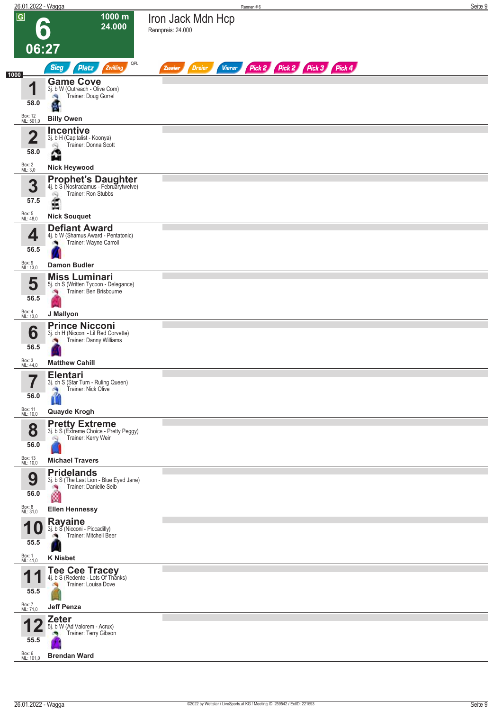|                              | 26.01.2022 - Wagga                                                                                    | Rennen#6                                                                | Seite 9 |
|------------------------------|-------------------------------------------------------------------------------------------------------|-------------------------------------------------------------------------|---------|
| $\overline{G}$               | 1000 m<br>24.000                                                                                      | Iron Jack Mdn Hcp<br>Rennpreis: 24.000                                  |         |
|                              | 06:27                                                                                                 |                                                                         |         |
|                              | QPL<br>Zwilling<br><b>Sieg</b><br>Platz                                                               | Pick 2 Pick 2 Pick 3 Pick 4<br><b>Dreier</b><br><b>Vierer</b><br>Zweier |         |
| 1000<br>И                    | <b>Game Cove</b><br>3j. b W (Outreach - Olive Com)<br>Trainer: Doug Gorrel                            |                                                                         |         |
| 58.0<br>Box: 12<br>ML: 501,0 | 廣<br><b>Billy Owen</b>                                                                                |                                                                         |         |
| $\overline{\mathbf{2}}$      | <b>Incentive</b><br>3j. b H (Capitalist - Koonya)<br>Trainer: Donna Scott<br>Q                        |                                                                         |         |
| 58.0                         | $\Delta$<br><b>Ball</b>                                                                               |                                                                         |         |
| Box: 2<br>ML: 3,0            | <b>Nick Heywood</b><br><b>Prophet's Daughter</b><br>4j. b S (Nostradamus - Februarytwelve)            |                                                                         |         |
| 3<br>57.5                    | Trainer: Ron Stubbs<br>ê                                                                              |                                                                         |         |
| Box: 5<br>ML: 48,0           | <b>Nick Souquet</b>                                                                                   |                                                                         |         |
| 4                            | <b>Defiant Award</b><br>4j. b W (Shamus Award - Pentatonic)<br>Trainer: Wayne Carroll                 |                                                                         |         |
| 56.5<br>Box: 9<br>ML: 13,0   | <b>Damon Budler</b>                                                                                   |                                                                         |         |
| 5<br>56.5                    | <b>Miss Luminari</b><br>5j. ch S (Written Tycoon - Delegance)<br>Trainer: Ben Brisbourne<br><b>DR</b> |                                                                         |         |
| Box: 4<br>ML: 13,0           | J Mallyon                                                                                             |                                                                         |         |
| 6                            | <b>Prince Nicconi</b><br>3j. ch H (Nicconi - Lil Red Corvette)<br>Trainer: Danny Williams             |                                                                         |         |
| 56.5<br>Box: 3<br>ML: 44,0   | <b>Matthew Cahill</b>                                                                                 |                                                                         |         |
| 7                            | <b>Elentari</b><br>3j. ch S (Star Turn - Ruling Queen)                                                |                                                                         |         |
| ı<br>56.0                    | Trainer: Nick Olive<br><b>A</b>                                                                       |                                                                         |         |
| Box: 11<br>ML: 10,0          | Quayde Krogh                                                                                          |                                                                         |         |
| 8<br>56.0                    | <b>Pretty Extreme</b><br>3j. b S (Extreme Choice - Pretty Peggy)<br>Trainer: Kerry Weir<br>Q          |                                                                         |         |
| Box: 13<br>ML: 10,0          | <b>Michael Travers</b>                                                                                |                                                                         |         |
| 9<br>56.0                    | <b>Pridelands</b><br>3j. b S (The Last Lion - Blue Eyed Jane)<br>Trainer: Danielle Seib<br>×,<br>ø    |                                                                         |         |
| Box: 8<br>ML: 31,0           | <b>Ellen Hennessy</b>                                                                                 |                                                                         |         |
| и<br>U<br>55.5               | <b>Rayaine</b><br>3j. b S (Nicconi - Piccadilly)<br>Trainer: Mitchell Beer                            |                                                                         |         |
| Box: 1<br>ML: 41,0           | <b>K</b> Nisbet                                                                                       |                                                                         |         |
| 55.5                         | <b>Tee Cee Tracey</b><br>4j. b S (Redente - Lots Of Thanks)<br>Trainer: Louisa Dove                   |                                                                         |         |
| Box: 7<br>ML: 71,0           | <b>Jeff Penza</b>                                                                                     |                                                                         |         |
| 55.5                         | <b>Zeter</b><br>5j. b W (Ad Valorem - Acrux)<br>Trainer: Terry Gibson                                 |                                                                         |         |
| Box: 6                       | <b>Brendan Ward</b>                                                                                   |                                                                         |         |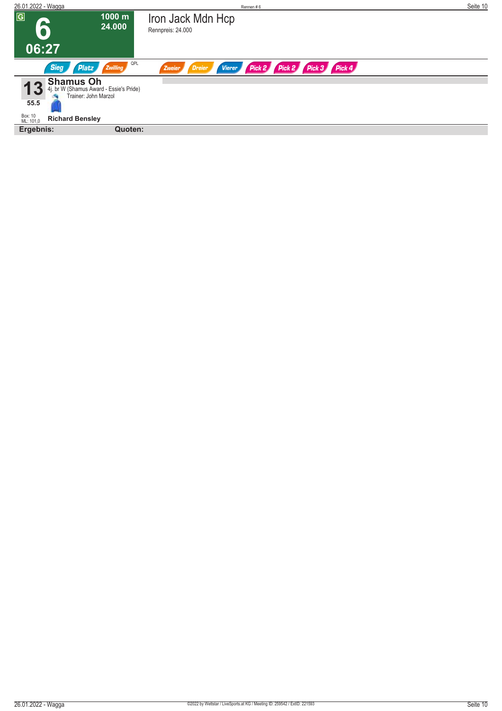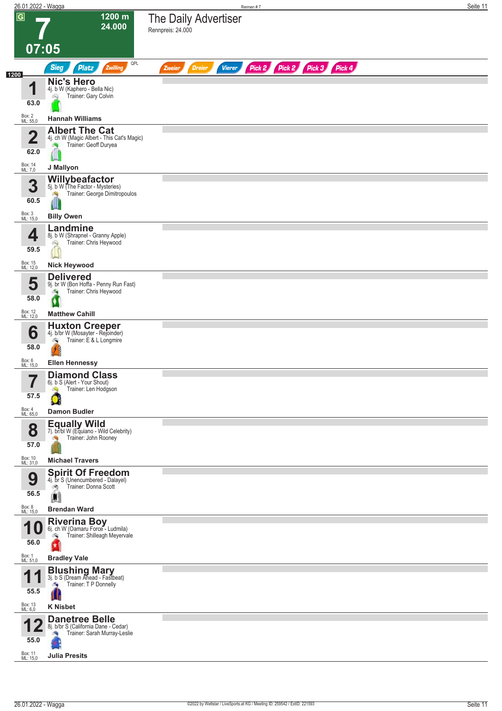|                         | 26.01.2022 - Wagga                                                                            | Rennen #7                                                               | Seite 11 |
|-------------------------|-----------------------------------------------------------------------------------------------|-------------------------------------------------------------------------|----------|
| $\overline{G}$          | 1200 m<br>24.000                                                                              | The Daily Advertiser<br>Rennpreis: 24.000                               |          |
| 07:05                   |                                                                                               |                                                                         |          |
|                         | QPL<br><b>Sieg</b><br>Zwilling<br><b>Platz</b>                                                | Pick 2 Pick 2 Pick 3 Pick 4<br><b>Dreier</b><br><b>Vierer</b><br>Zweier |          |
| 1200<br>и               | <b>Nic's Hero</b><br>4j. b W (Kaphero - Bella Nic)                                            |                                                                         |          |
| 63.0                    | Trainer: Gary Colvin<br>ôQ                                                                    |                                                                         |          |
| Box: 2<br>ML: 55,0      | <b>Hannah Williams</b>                                                                        |                                                                         |          |
| $\overline{\mathbf{2}}$ | <b>Albert The Cat</b><br>4j. ch W (Magic Albert - This Cat's Magic)                           |                                                                         |          |
| 62.0                    | Trainer: Geoff Duryea                                                                         |                                                                         |          |
| Box: 14<br>ML: 7,0      | J Mallyon                                                                                     |                                                                         |          |
| 3                       | Willybeafactor<br>5j. b W (The Factor - Mysteries)                                            |                                                                         |          |
| 60.5                    | Trainer: George Dimitropoulos<br>W                                                            |                                                                         |          |
| Box: 3<br>ML: 15,0      | <b>Billy Owen</b>                                                                             |                                                                         |          |
| 4                       | Landmine<br>8j. b W (Shrapnel - Granny Apple)<br>Trainer: Chris Heywood                       |                                                                         |          |
| 59.5                    | ô9                                                                                            |                                                                         |          |
| Box: 15<br>ML: 12,0     | <b>Nick Heywood</b>                                                                           |                                                                         |          |
| 5                       | <b>Delivered</b><br>9j. br W (Bon Hoffa - Penny Run Fast)<br>Trainer: Chris Heywood<br>÷,     |                                                                         |          |
| 58.0                    | ø                                                                                             |                                                                         |          |
| Box: 12<br>ML: 12,0     | <b>Matthew Cahill</b>                                                                         |                                                                         |          |
| 6                       | Huxton Creeper<br>4j. b/br W (Mosayter - Rejoinder)<br>Trainer: E & L Longmire<br>G)          |                                                                         |          |
| 58.0                    |                                                                                               |                                                                         |          |
| Box: 6<br>ML: 15,0      | <b>Ellen Hennessy</b><br><b>Diamond Class</b>                                                 |                                                                         |          |
| 7<br>ı                  | 6j. b S (Alert - Your Shout)<br>Trainer: Len Hodgson<br>đQ                                    |                                                                         |          |
| 57.5<br>Box: 4          |                                                                                               |                                                                         |          |
| ML: 65,0                | <b>Damon Budler</b>                                                                           |                                                                         |          |
| 8<br>57.0               | Equally Wild<br>7j. br/bl W (Equiano - Wild Celebrity)<br>Trainer: John Rooney                |                                                                         |          |
| Box: 10<br>ML: 31,0     | <b>Michael Travers</b>                                                                        |                                                                         |          |
| 9                       | <b>Spirit Of Freedom</b><br>4j. br S (Unencumbered - Dalayel)<br>Trainer: Donna Scott<br>đ.   |                                                                         |          |
| 56.5                    |                                                                                               |                                                                         |          |
| Box: 8<br>ML: 15,0      | <b>Brendan Ward</b>                                                                           |                                                                         |          |
| 10                      | Riverina Boy<br>6j. ch W (Oamaru Force - Ludmila)<br>Trainer: Shilleagh Meyervale<br>69       |                                                                         |          |
| 56.0                    |                                                                                               |                                                                         |          |
| Box: 1<br>ML: 51,0      | <b>Bradley Vale</b>                                                                           |                                                                         |          |
| 55.5                    | <b>Blushing Mary</b> 3j. b S (Dream Ahead - Fastbeat)<br>Trainer: T P Donnelly<br>a.          |                                                                         |          |
| Box: 13<br>ML: 6,0      | <b>K Nisbet</b>                                                                               |                                                                         |          |
|                         | <b>Danetree Belle</b><br>8j. b/br S (California Dane - Cedar)<br>Trainer: Sarah Murray-Leslie |                                                                         |          |
| 55.0                    |                                                                                               |                                                                         |          |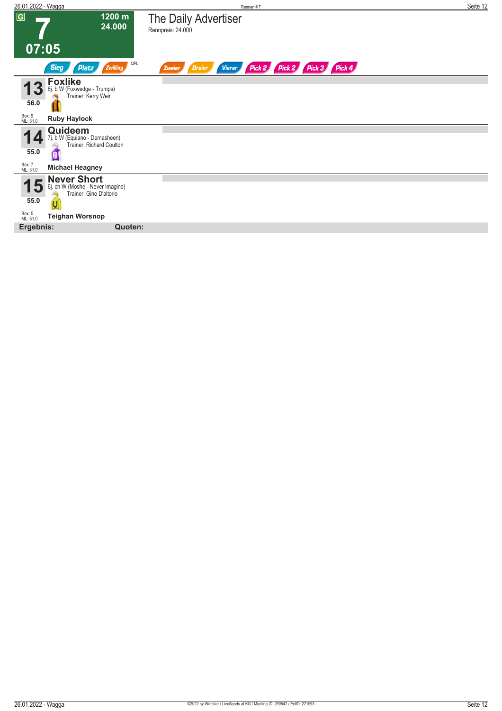| 26.01.2022 - Wagga                                                                                                                       | Rennen#7                                                                   | Seite 12 |
|------------------------------------------------------------------------------------------------------------------------------------------|----------------------------------------------------------------------------|----------|
| $\overline{G}$<br>1200 m<br>24.000<br>07:05                                                                                              | The Daily Advertiser<br>Rennpreis: 24.000                                  |          |
| QPL<br><b>Sieg</b><br>Zwilling<br>Platz                                                                                                  | Pick 2 Pick 3 Pick 4<br>Pick 2<br><b>Dreier</b><br><b>Vierer</b><br>Zweier |          |
| <b>Foxlike</b><br>8j. b W (Foxwedge - Trumps)<br>Trainer: Kerry Weir<br>56.0<br>Box: 9<br>ML: 31,0<br><b>Ruby Haylock</b>                |                                                                            |          |
| Quideem<br>7j. b W (Equiano - Demasheen)<br><b>Trainer: Richard Coulton</b><br>55.0<br>G<br>Box: 7<br>ML: 31,0<br><b>Michael Heagney</b> |                                                                            |          |
| Never Short<br>6j. ch W (Moshe - Never Imagine)<br>5<br>Trainer: Gino D'altorio<br>55.0<br>Box: 5<br>ML: 51,0<br><b>Teighan Worsnop</b>  |                                                                            |          |
| Ergebnis:<br>Quoten:                                                                                                                     |                                                                            |          |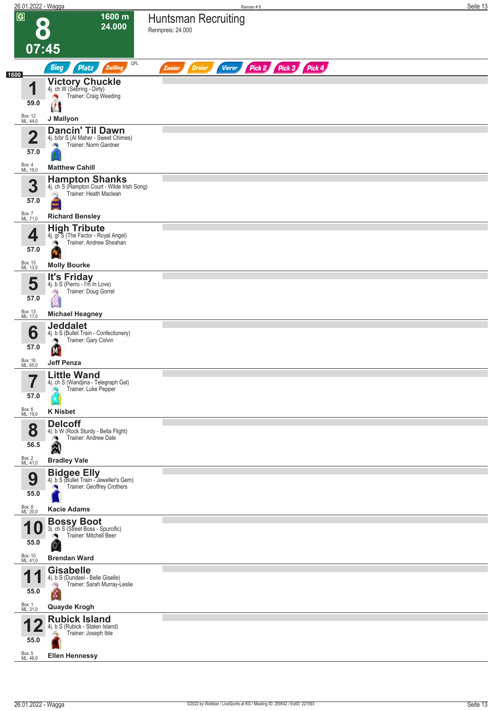|      | 26.01.2022 - Wagga          |                                                                                                            | Rennen#8                                                         | Seite 13 |
|------|-----------------------------|------------------------------------------------------------------------------------------------------------|------------------------------------------------------------------|----------|
|      | $\overline{G}$<br>$\bullet$ | 1600 m<br>24.000                                                                                           | Huntsman Recruiting<br>Rennpreis: 24.000                         |          |
|      | 07:45                       |                                                                                                            |                                                                  |          |
|      |                             | QPL<br><b>Sieg</b><br>Platz<br>Zwilling                                                                    | Pick 2 Pick 3 Pick 4<br><b>Vierer</b><br><b>Dreier</b><br>Zweier |          |
| 1600 | И                           | Victory Chuckle<br>4j. ch W (Sebring - Dirty)<br>Trainer: Craig Weeding                                    |                                                                  |          |
|      | 59.0<br>Box: 12<br>ML: 44,0 | J Mallyon                                                                                                  |                                                                  |          |
|      | $\overline{\mathbf{2}}$     | Dancin' Til Dawn<br>4j. b/br S (Al Maher - Sweet Chimes)                                                   |                                                                  |          |
|      | 57.0                        | Trainer: Norm Gardner<br>×                                                                                 |                                                                  |          |
|      | Box: 4<br>ML: 19,0          | <b>Matthew Cahill</b>                                                                                      |                                                                  |          |
|      | 3<br>57.0                   | <b>Hampton Shanks</b><br>4j. ch S (Hampton Court - Wilde Irish Song)<br>Trainer: Heath Maclean<br>ôQ)<br>E |                                                                  |          |
|      | Box: 7<br>ML: 71,0          | <b>Richard Bensley</b>                                                                                     |                                                                  |          |
|      | 4                           | <b>High Tribute</b><br>4j. gr S (The Factor - Royal Angel)<br>Trainer: Andrew Sheahan                      |                                                                  |          |
|      | 57.0<br>Box: 15             |                                                                                                            |                                                                  |          |
|      | ML: 13,0                    | <b>Molly Bourke</b><br>It's Friday                                                                         |                                                                  |          |
|      | 5<br>57.0                   | 4j. b S (Pierro - I'm In Love)<br>Trainer: Doug Gorrel<br>鸿                                                |                                                                  |          |
|      | Box: 13<br>ML: 17,0         | <b>Michael Heagney</b>                                                                                     |                                                                  |          |
|      | 6                           | <b>Jeddalet</b><br>4j. b S (Bullet Train - Confectionery)<br>Trainer: Gary Colvin                          |                                                                  |          |
|      | 57.0                        | М                                                                                                          |                                                                  |          |
|      | Box: 16<br>ML: 65,0         | <b>Jeff Penza</b>                                                                                          |                                                                  |          |
|      | 7<br>$\blacksquare$<br>57.0 | <b>Little Wand</b><br>4j. ch S (Wandjina - Telegraph Gal)<br>Trainer: Luke Pepper                          |                                                                  |          |
|      | Box: 6<br>ML: 19,0          | <b>K Nisbet</b>                                                                                            |                                                                  |          |
|      | 8                           | <b>Delcoff</b><br>4j. b W (Rock Sturdy - Bella Flight)<br>Trainer: Andrew Dale<br>鸿                        |                                                                  |          |
|      | 56.5<br>Box: 2<br>ML: 41,0  | A<br><b>Bradley Vale</b>                                                                                   |                                                                  |          |
|      |                             | <b>Bidgee Elly</b><br>4j. b S (Bullet Train - Jeweller's Gem)                                              |                                                                  |          |
|      | 9<br>55.0                   | Trainer: Geoffrey Crothers                                                                                 |                                                                  |          |
|      | Box: 8<br>ML: 20,0          | <b>Kacie Adams</b>                                                                                         |                                                                  |          |
|      | 1 U                         | <b>Bossy Boot</b><br>3j. ch S (Street Boss - Spurcific)<br>Trainer: Mitchell Beer                          |                                                                  |          |
|      | 55.0                        | O                                                                                                          |                                                                  |          |
|      | Box: 10<br>ML: 41,0         | <b>Brendan Ward</b><br><b>Gisabelle</b>                                                                    |                                                                  |          |
|      | и<br>55.0                   | 4j. b S (Dundeel - Belle Giselle)<br>Trainer: Sarah Murray-Leslie<br>K                                     |                                                                  |          |
|      | Box: 1<br>ML: 31,0          | <b>Quayde Krogh</b>                                                                                        |                                                                  |          |
|      | 55.0                        | <b>Rubick Island</b><br>4j. b S (Rubick - Staten Island)<br>Trainer: Joseph Ible<br>ó,                     |                                                                  |          |
|      | Box: 5<br>ML: 46,0          | <b>Ellen Hennessy</b>                                                                                      |                                                                  |          |